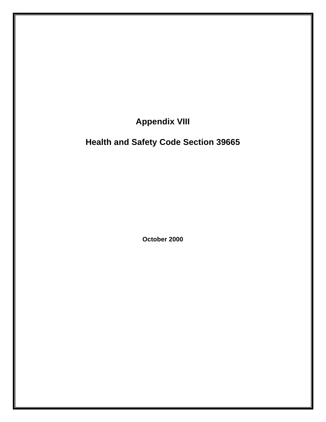**Appendix VIII** 

## **Health and Safety Code Section 39665**

**October 2000**